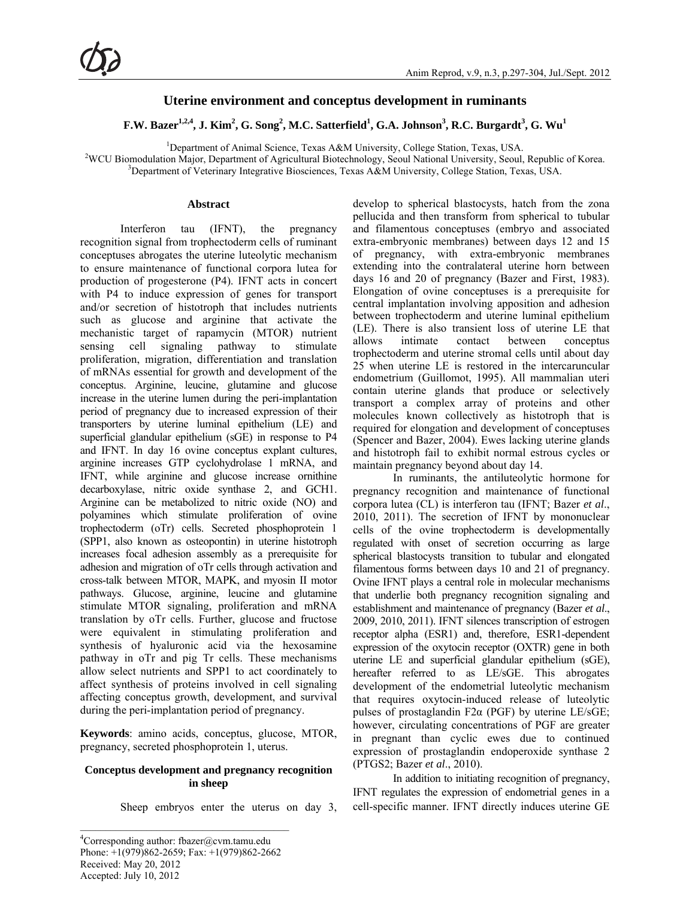# **Uterine environment and conceptus development in ruminants**

 $\mathbf{F}.\mathbf{W}.$  Bazer<sup>1,2,4</sup>, J. Kim $^2$ , G. Song $^2$ , M.C. Satterfield $^1$ , G.A. Johnson $^3$ , R.C. Burgardt $^3$ , G. Wu $^1$ 

<sup>1</sup> Department of Animal Science, Texas A&M University, College Station, Texas, USA.<br><sup>2</sup>WCU Biomedylstics Maior, Department of Agricultural Biotechnology, Secul National University, Secul

<sup>2</sup>WCU Biomodulation Major, Department of Agricultural Biotechnology, Seoul National University, Seoul, Republic of Korea. <sup>3</sup>Department of Veterinary Integrative Biosciences, Texas A&M University, College Station, Texas, USA.

#### **Abstract**

Interferon tau (IFNT), the pregnancy recognition signal from trophectoderm cells of ruminant conceptuses abrogates the uterine luteolytic mechanism to ensure maintenance of functional corpora lutea for production of progesterone (P4). IFNT acts in concert with P4 to induce expression of genes for transport and/or secretion of histotroph that includes nutrients such as glucose and arginine that activate the mechanistic target of rapamycin (MTOR) nutrient sensing cell signaling pathway to stimulate proliferation, migration, differentiation and translation of mRNAs essential for growth and development of the conceptus. Arginine, leucine, glutamine and glucose increase in the uterine lumen during the peri-implantation period of pregnancy due to increased expression of their transporters by uterine luminal epithelium (LE) and superficial glandular epithelium (sGE) in response to P4 and IFNT. In day 16 ovine conceptus explant cultures, arginine increases GTP cyclohydrolase 1 mRNA, and IFNT, while arginine and glucose increase ornithine decarboxylase, nitric oxide synthase 2, and GCH1. Arginine can be metabolized to nitric oxide (NO) and polyamines which stimulate proliferation of ovine trophectoderm (oTr) cells. Secreted phosphoprotein 1 (SPP1, also known as osteopontin) in uterine histotroph increases focal adhesion assembly as a prerequisite for adhesion and migration of oTr cells through activation and cross-talk between MTOR, MAPK, and myosin II motor pathways. Glucose, arginine, leucine and glutamine stimulate MTOR signaling, proliferation and mRNA translation by oTr cells. Further, glucose and fructose were equivalent in stimulating proliferation and synthesis of hyaluronic acid via the hexosamine pathway in oTr and pig Tr cells. These mechanisms allow select nutrients and SPP1 to act coordinately to affect synthesis of proteins involved in cell signaling affecting conceptus growth, development, and survival during the peri-implantation period of pregnancy.

**Keywords**: amino acids, conceptus, glucose, MTOR, pregnancy, secreted phosphoprotein 1, uterus.

## **Conceptus development and pregnancy recognition in sheep**

Sheep embryos enter the uterus on day 3,

develop to spherical blastocysts, hatch from the zona pellucida and then transform from spherical to tubular and filamentous conceptuses (embryo and associated extra-embryonic membranes) between days 12 and 15 of pregnancy, with extra-embryonic membranes extending into the contralateral uterine horn between days 16 and 20 of pregnancy (Bazer and First, 1983). Elongation of ovine conceptuses is a prerequisite for central implantation involving apposition and adhesion between trophectoderm and uterine luminal epithelium (LE). There is also transient loss of uterine LE that allows intimate contact between conceptus trophectoderm and uterine stromal cells until about day 25 when uterine LE is restored in the intercaruncular endometrium (Guillomot, 1995). All mammalian uteri contain uterine glands that produce or selectively transport a complex array of proteins and other molecules known collectively as histotroph that is required for elongation and development of conceptuses (Spencer and Bazer, 2004). Ewes lacking uterine glands and histotroph fail to exhibit normal estrous cycles or maintain pregnancy beyond about day 14.

In ruminants, the antiluteolytic hormone for pregnancy recognition and maintenance of functional corpora lutea (CL) is interferon tau (IFNT; Bazer *et al*., 2010, 2011). The secretion of IFNT by mononuclear cells of the ovine trophectoderm is developmentally regulated with onset of secretion occurring as large spherical blastocysts transition to tubular and elongated filamentous forms between days 10 and 21 of pregnancy. Ovine IFNT plays a central role in molecular mechanisms that underlie both pregnancy recognition signaling and establishment and maintenance of pregnancy (Bazer *et al*., 2009, 2010, 2011). IFNT silences transcription of estrogen receptor alpha (ESR1) and, therefore, ESR1-dependent expression of the oxytocin receptor (OXTR) gene in both uterine LE and superficial glandular epithelium (sGE), hereafter referred to as LE/sGE. This abrogates development of the endometrial luteolytic mechanism that requires oxytocin-induced release of luteolytic pulses of prostaglandin F2 $\alpha$  (PGF) by uterine LE/sGE; however, circulating concentrations of PGF are greater in pregnant than cyclic ewes due to continued expression of prostaglandin endoperoxide synthase 2 (PTGS2; Bazer *et al*., 2010).

In addition to initiating recognition of pregnancy, IFNT regulates the expression of endometrial genes in a cell-specific manner. IFNT directly induces uterine GE

<sup>&</sup>lt;sup>4</sup>Corresponding author: fbazer@cvm.tamu.edu Phone: +1(979)862-2659; Fax: +1(979)862-2662 Received: May 20, 2012 Accepted: July 10, 2012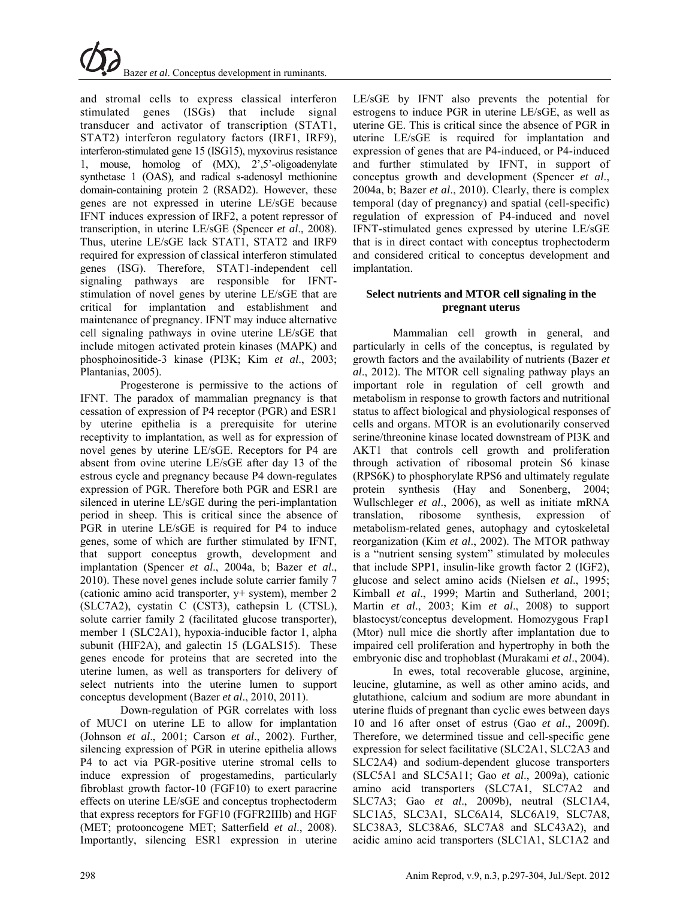

and stromal cells to express classical interferon stimulated genes (ISGs) that include signal transducer and activator of transcription (STAT1, STAT2) interferon regulatory factors (IRF1, IRF9), interferon-stimulated gene 15 (ISG15), myxovirus resistance 1, mouse, homolog of (MX), 2',5'-oligoadenylate synthetase 1 (OAS)*,* and radical s-adenosyl methionine domain-containing protein 2 (RSAD2). However, these genes are not expressed in uterine LE/sGE because IFNT induces expression of IRF2, a potent repressor of transcription, in uterine LE/sGE (Spencer *et al*., 2008). Thus, uterine LE/sGE lack STAT1, STAT2 and IRF9 required for expression of classical interferon stimulated genes (ISG). Therefore, STAT1-independent cell signaling pathways are responsible for IFNTstimulation of novel genes by uterine LE/sGE that are critical for implantation and establishment and maintenance of pregnancy. IFNT may induce alternative cell signaling pathways in ovine uterine LE/sGE that include mitogen activated protein kinases (MAPK) and phosphoinositide-3 kinase (PI3K; Kim *et al*., 2003; Plantanias, 2005).

Progesterone is permissive to the actions of IFNT. The paradox of mammalian pregnancy is that cessation of expression of P4 receptor (PGR) and ESR1 by uterine epithelia is a prerequisite for uterine receptivity to implantation, as well as for expression of novel genes by uterine LE/sGE. Receptors for P4 are absent from ovine uterine LE/sGE after day 13 of the estrous cycle and pregnancy because P4 down-regulates expression of PGR. Therefore both PGR and ESR1 are silenced in uterine LE/sGE during the peri-implantation period in sheep. This is critical since the absence of PGR in uterine LE/sGE is required for P4 to induce genes, some of which are further stimulated by IFNT, that support conceptus growth, development and implantation (Spencer *et al*., 2004a, b; Bazer *et al*., 2010). These novel genes include solute carrier family 7 (cationic amino acid transporter, y+ system), member 2 (SLC7A2), cystatin C (CST3), cathepsin L (CTSL), solute carrier family 2 (facilitated glucose transporter), member 1 (SLC2A1), hypoxia-inducible factor 1, alpha subunit (HIF2A), and galectin 15 (LGALS15). These genes encode for proteins that are secreted into the uterine lumen, as well as transporters for delivery of select nutrients into the uterine lumen to support conceptus development (Bazer *et al*., 2010, 2011).

Down-regulation of PGR correlates with loss of MUC1 on uterine LE to allow for implantation (Johnson *et al*., 2001; Carson *et al*., 2002). Further, silencing expression of PGR in uterine epithelia allows P4 to act via PGR-positive uterine stromal cells to induce expression of progestamedins, particularly fibroblast growth factor-10 (FGF10) to exert paracrine effects on uterine LE/sGE and conceptus trophectoderm that express receptors for FGF10 (FGFR2IIIb) and HGF (MET; protooncogene MET; Satterfield *et al*., 2008). Importantly, silencing ESR1 expression in uterine LE/sGE by IFNT also prevents the potential for estrogens to induce PGR in uterine LE/sGE, as well as uterine GE. This is critical since the absence of PGR in uterine LE/sGE is required for implantation and expression of genes that are P4-induced, or P4-induced and further stimulated by IFNT, in support of conceptus growth and development (Spencer *et al*., 2004a, b; Bazer *et al*., 2010). Clearly, there is complex temporal (day of pregnancy) and spatial (cell-specific) regulation of expression of P4-induced and novel IFNT-stimulated genes expressed by uterine LE/sGE that is in direct contact with conceptus trophectoderm and considered critical to conceptus development and implantation.

# **Select nutrients and MTOR cell signaling in the pregnant uterus**

Mammalian cell growth in general, and particularly in cells of the conceptus, is regulated by growth factors and the availability of nutrients (Bazer *et al*., 2012). The MTOR cell signaling pathway plays an important role in regulation of cell growth and metabolism in response to growth factors and nutritional status to affect biological and physiological responses of cells and organs. MTOR is an evolutionarily conserved serine/threonine kinase located downstream of PI3K and AKT1 that controls cell growth and proliferation through activation of ribosomal protein S6 kinase (RPS6K) to phosphorylate RPS6 and ultimately regulate protein synthesis (Hay and Sonenberg, 2004; Wullschleger *et al*., 2006), as well as initiate mRNA translation, ribosome synthesis, expression of metabolism-related genes, autophagy and cytoskeletal reorganization (Kim *et al*., 2002). The MTOR pathway is a "nutrient sensing system" stimulated by molecules that include SPP1, insulin-like growth factor 2 (IGF2), glucose and select amino acids (Nielsen *et al*., 1995; Kimball *et al*., 1999; Martin and Sutherland, 2001; Martin *et al*., 2003; Kim *et al*., 2008) to support blastocyst/conceptus development. Homozygous Frap1 (Mtor) null mice die shortly after implantation due to impaired cell proliferation and hypertrophy in both the embryonic disc and trophoblast (Murakami *et al*., 2004).

In ewes, total recoverable glucose, arginine, leucine, glutamine, as well as other amino acids, and glutathione, calcium and sodium are more abundant in uterine fluids of pregnant than cyclic ewes between days 10 and 16 after onset of estrus (Gao *et al*., 2009f). Therefore, we determined tissue and cell-specific gene expression for select facilitative (SLC2A1, SLC2A3 and SLC2A4) and sodium-dependent glucose transporters (SLC5A1 and SLC5A11; Gao *et al*., 2009a), cationic amino acid transporters (SLC7A1, SLC7A2 and SLC7A3; Gao *et al*., 2009b), neutral (SLC1A4, SLC1A5, SLC3A1, SLC6A14, SLC6A19, SLC7A8, SLC38A3*,* SLC38A6*,* SLC7A8 and SLC43A2), and acidic amino acid transporters (SLC1A1, SLC1A2 and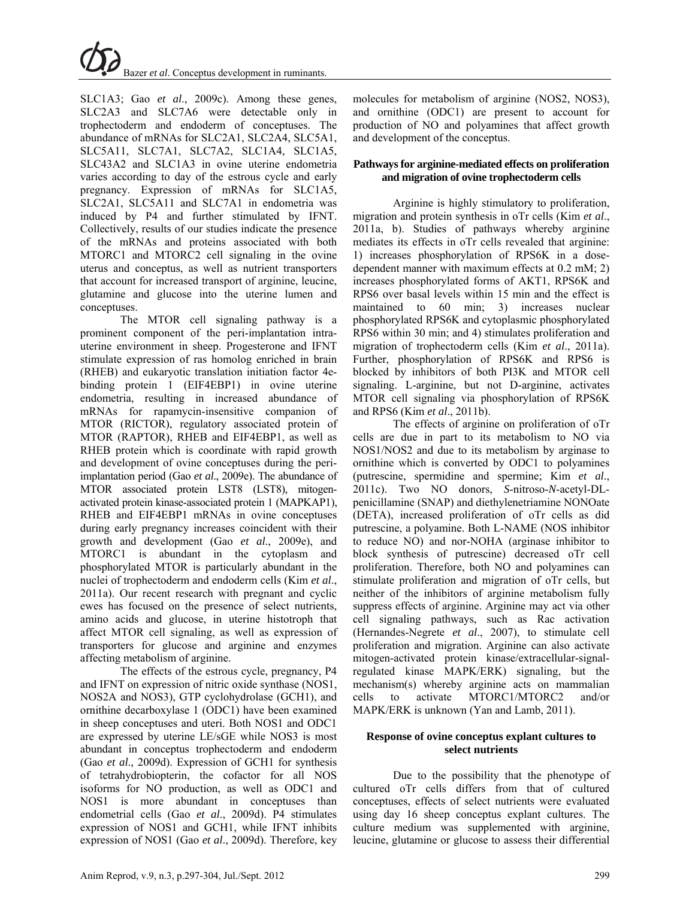

SLC1A3; Gao *et al*., 2009c). Among these genes, SLC2A3 and SLC7A6 were detectable only in trophectoderm and endoderm of conceptuses. The abundance of mRNAs for SLC2A1, SLC2A4, SLC5A1, SLC5A11, SLC7A1, SLC7A2, SLC1A4, SLC1A5, SLC43A2 and SLC1A3 in ovine uterine endometria varies according to day of the estrous cycle and early pregnancy. Expression of mRNAs for SLC1A5, SLC2A1, SLC5A11 and SLC7A1 in endometria was induced by P4 and further stimulated by IFNT. Collectively, results of our studies indicate the presence of the mRNAs and proteins associated with both MTORC1 and MTORC2 cell signaling in the ovine uterus and conceptus, as well as nutrient transporters that account for increased transport of arginine, leucine, glutamine and glucose into the uterine lumen and conceptuses.

The MTOR cell signaling pathway is a prominent component of the peri-implantation intrauterine environment in sheep. Progesterone and IFNT stimulate expression of ras homolog enriched in brain (RHEB) and eukaryotic translation initiation factor 4ebinding protein 1 (EIF4EBP1) in ovine uterine endometria, resulting in increased abundance of mRNAs for rapamycin-insensitive companion of MTOR (RICTOR), regulatory associated protein of MTOR (RAPTOR), RHEB and EIF4EBP1, as well as RHEB protein which is coordinate with rapid growth and development of ovine conceptuses during the periimplantation period (Gao *et al*., 2009e). The abundance of MTOR associated protein LST8 (LST8), mitogenactivated protein kinase-associated protein 1 (MAPKAP1), RHEB and EIF4EBP1 mRNAs in ovine conceptuses during early pregnancy increases coincident with their growth and development (Gao *et al*., 2009e), and MTORC1 is abundant in the cytoplasm and phosphorylated MTOR is particularly abundant in the nuclei of trophectoderm and endoderm cells (Kim *et al*., 2011a). Our recent research with pregnant and cyclic ewes has focused on the presence of select nutrients, amino acids and glucose, in uterine histotroph that affect MTOR cell signaling, as well as expression of transporters for glucose and arginine and enzymes affecting metabolism of arginine.

The effects of the estrous cycle, pregnancy, P4 and IFNT on expression of nitric oxide synthase (NOS1, NOS2A and NOS3), GTP cyclohydrolase (GCH1), and ornithine decarboxylase 1 (ODC1) have been examined in sheep conceptuses and uteri. Both NOS1 and ODC1 are expressed by uterine LE/sGE while NOS3 is most abundant in conceptus trophectoderm and endoderm (Gao *et al*., 2009d). Expression of GCH1 for synthesis of tetrahydrobiopterin, the cofactor for all NOS isoforms for NO production, as well as ODC1 and NOS1 is more abundant in conceptuses than endometrial cells (Gao *et al*., 2009d). P4 stimulates expression of NOS1 and GCH1, while IFNT inhibits expression of NOS1 (Gao *et al*., 2009d). Therefore, key

molecules for metabolism of arginine (NOS2, NOS3), and ornithine (ODC1) are present to account for production of NO and polyamines that affect growth and development of the conceptus.

## **Pathways for arginine-mediated effects on proliferation and migration of ovine trophectoderm cells**

Arginine is highly stimulatory to proliferation, migration and protein synthesis in oTr cells (Kim *et al*., 2011a, b). Studies of pathways whereby arginine mediates its effects in oTr cells revealed that arginine: 1) increases phosphorylation of RPS6K in a dosedependent manner with maximum effects at 0.2 mM; 2) increases phosphorylated forms of AKT1, RPS6K and RPS6 over basal levels within 15 min and the effect is maintained to 60 min; 3) increases nuclear phosphorylated RPS6K and cytoplasmic phosphorylated RPS6 within 30 min; and 4) stimulates proliferation and migration of trophectoderm cells (Kim *et al*., 2011a). Further, phosphorylation of RPS6K and RPS6 is blocked by inhibitors of both PI3K and MTOR cell signaling. L-arginine, but not D-arginine, activates MTOR cell signaling via phosphorylation of RPS6K and RPS6 (Kim *et al*., 2011b).

The effects of arginine on proliferation of oTr cells are due in part to its metabolism to NO via NOS1/NOS2 and due to its metabolism by arginase to ornithine which is converted by ODC1 to polyamines (putrescine, spermidine and spermine; Kim *et al*., 2011c). Two NO donors, *S*-nitroso-*N*-acetyl-DLpenicillamine (SNAP) and diethylenetriamine NONOate (DETA), increased proliferation of oTr cells as did putrescine, a polyamine. Both L-NAME (NOS inhibitor to reduce NO) and nor-NOHA (arginase inhibitor to block synthesis of putrescine) decreased oTr cell proliferation. Therefore, both NO and polyamines can stimulate proliferation and migration of oTr cells, but neither of the inhibitors of arginine metabolism fully suppress effects of arginine. Arginine may act via other cell signaling pathways, such as Rac activation (Hernandes-Negrete *et al*., 2007), to stimulate cell proliferation and migration. Arginine can also activate mitogen-activated protein kinase/extracellular-signalregulated kinase MAPK/ERK) signaling, but the mechanism(s) whereby arginine acts on mammalian cells to activate MTORC1/MTORC2 and/or MAPK/ERK is unknown (Yan and Lamb, 2011).

## **Response of ovine conceptus explant cultures to select nutrients**

Due to the possibility that the phenotype of cultured oTr cells differs from that of cultured conceptuses, effects of select nutrients were evaluated using day 16 sheep conceptus explant cultures. The culture medium was supplemented with arginine, leucine, glutamine or glucose to assess their differential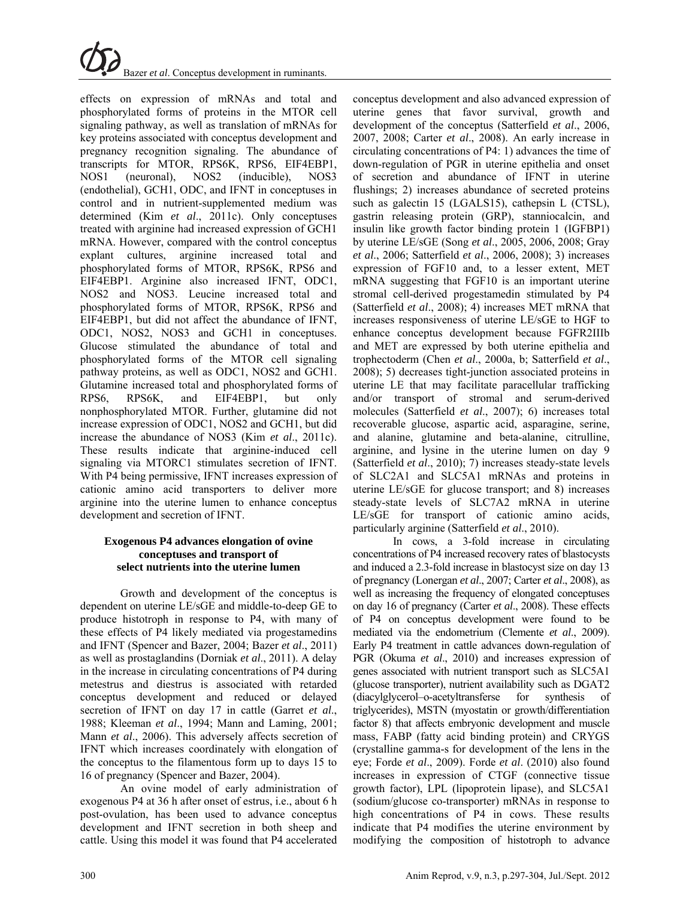

effects on expression of mRNAs and total and phosphorylated forms of proteins in the MTOR cell signaling pathway, as well as translation of mRNAs for key proteins associated with conceptus development and pregnancy recognition signaling. The abundance of transcripts for MTOR, RPS6K, RPS6, EIF4EBP1, NOS1 (neuronal), NOS2 (inducible), NOS3 (endothelial), GCH1, ODC, and IFNT in conceptuses in control and in nutrient-supplemented medium was determined (Kim *et al*., 2011c). Only conceptuses treated with arginine had increased expression of GCH1 mRNA. However, compared with the control conceptus explant cultures, arginine increased total and phosphorylated forms of MTOR, RPS6K, RPS6 and EIF4EBP1. Arginine also increased IFNT, ODC1, NOS2 and NOS3. Leucine increased total and phosphorylated forms of MTOR, RPS6K, RPS6 and EIF4EBP1, but did not affect the abundance of IFNT, ODC1, NOS2, NOS3 and GCH1 in conceptuses. Glucose stimulated the abundance of total and phosphorylated forms of the MTOR cell signaling pathway proteins, as well as ODC1, NOS2 and GCH1. Glutamine increased total and phosphorylated forms of RPS6, RPS6K, and EIF4EBP1, but only nonphosphorylated MTOR. Further, glutamine did not increase expression of ODC1, NOS2 and GCH1, but did increase the abundance of NOS3 (Kim *et al*., 2011c). These results indicate that arginine-induced cell signaling via MTORC1 stimulates secretion of IFNT. With P4 being permissive, IFNT increases expression of cationic amino acid transporters to deliver more arginine into the uterine lumen to enhance conceptus development and secretion of IFNT.

#### **Exogenous P4 advances elongation of ovine conceptuses and transport of select nutrients into the uterine lumen**

Growth and development of the conceptus is dependent on uterine LE/sGE and middle-to-deep GE to produce histotroph in response to P4, with many of these effects of P4 likely mediated via progestamedins and IFNT (Spencer and Bazer, 2004; Bazer *et al*., 2011) as well as prostaglandins (Dorniak *et al*., 2011). A delay in the increase in circulating concentrations of P4 during metestrus and diestrus is associated with retarded conceptus development and reduced or delayed secretion of IFNT on day 17 in cattle (Garret *et al*., 1988; Kleeman *et al*., 1994; Mann and Laming, 2001; Mann *et al*., 2006). This adversely affects secretion of IFNT which increases coordinately with elongation of the conceptus to the filamentous form up to days 15 to 16 of pregnancy (Spencer and Bazer, 2004).

An ovine model of early administration of exogenous P4 at 36 h after onset of estrus, i.e., about 6 h post-ovulation, has been used to advance conceptus development and IFNT secretion in both sheep and cattle. Using this model it was found that P4 accelerated

conceptus development and also advanced expression of uterine genes that favor survival, growth and development of the conceptus (Satterfield *et al*., 2006, 2007, 2008; Carter *et al*., 2008). An early increase in circulating concentrations of P4: 1) advances the time of down-regulation of PGR in uterine epithelia and onset of secretion and abundance of IFNT in uterine flushings; 2) increases abundance of secreted proteins such as galectin 15 (LGALS15), cathepsin L (CTSL), gastrin releasing protein (GRP), stanniocalcin, and insulin like growth factor binding protein 1 (IGFBP1) by uterine LE/sGE (Song *et al*., 2005, 2006, 2008; Gray *et al*., 2006; Satterfield *et al*., 2006, 2008); 3) increases expression of FGF10 and, to a lesser extent, MET mRNA suggesting that FGF10 is an important uterine stromal cell-derived progestamedin stimulated by P4 (Satterfield *et al*., 2008); 4) increases MET mRNA that increases responsiveness of uterine LE/sGE to HGF to enhance conceptus development because FGFR2IIIb and MET are expressed by both uterine epithelia and trophectoderm (Chen *et al*., 2000a, b; Satterfield *et al*., 2008); 5) decreases tight-junction associated proteins in uterine LE that may facilitate paracellular trafficking and/or transport of stromal and serum-derived molecules (Satterfield *et al*., 2007); 6) increases total recoverable glucose, aspartic acid, asparagine, serine, and alanine, glutamine and beta-alanine, citrulline, arginine, and lysine in the uterine lumen on day 9 (Satterfield *et al*., 2010); 7) increases steady-state levels of SLC2A1 and SLC5A1 mRNAs and proteins in uterine LE/sGE for glucose transport; and 8) increases steady-state levels of SLC7A2 mRNA in uterine LE/sGE for transport of cationic amino acids, particularly arginine (Satterfield *et al*., 2010).

In cows, a 3-fold increase in circulating concentrations of P4 increased recovery rates of blastocysts and induced a 2.3-fold increase in blastocyst size on day 13 of pregnancy (Lonergan *et al*., 2007; Carter *et al*., 2008), as well as increasing the frequency of elongated conceptuses on day 16 of pregnancy (Carter *et al*., 2008). These effects of P4 on conceptus development were found to be mediated via the endometrium (Clemente *et al*., 2009). Early P4 treatment in cattle advances down-regulation of PGR (Okuma *et al*., 2010) and increases expression of genes associated with nutrient transport such as SLC5A1 (glucose transporter), nutrient availability such as DGAT2 (diacylglycerol–o-acetyltransferse for synthesis of triglycerides), MSTN (myostatin or growth/differentiation factor 8) that affects embryonic development and muscle mass, FABP (fatty acid binding protein) and CRYGS (crystalline gamma-s for development of the lens in the eye; Forde *et al*., 2009). Forde *et al*. (2010) also found increases in expression of CTGF (connective tissue growth factor), LPL (lipoprotein lipase), and SLC5A1 (sodium/glucose co-transporter) mRNAs in response to high concentrations of P4 in cows. These results indicate that P4 modifies the uterine environment by modifying the composition of histotroph to advance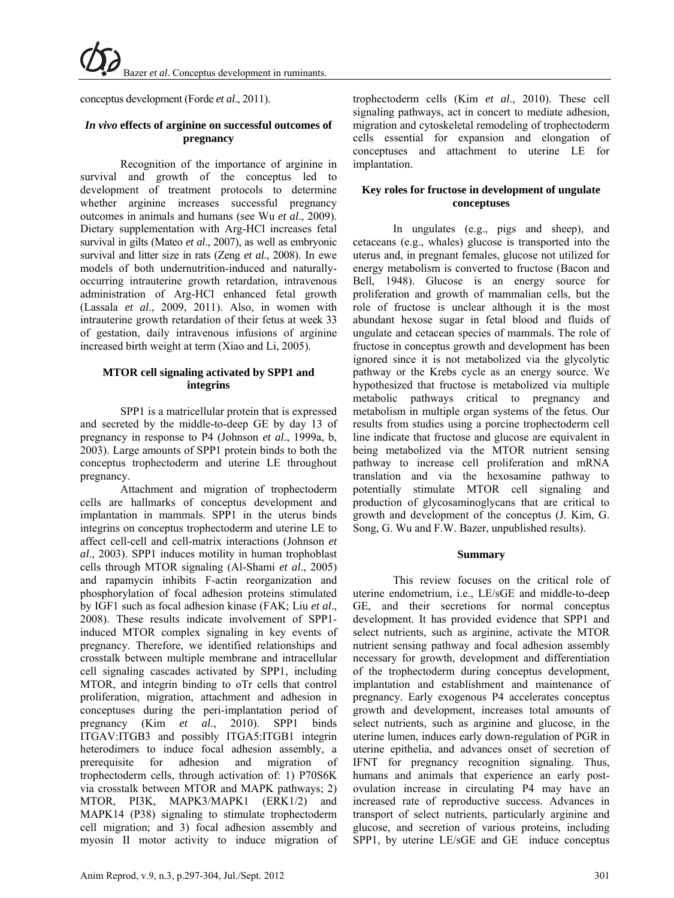conceptus development (Forde *et al*., 2011).

## *In vivo* **effects of arginine on successful outcomes of pregnancy**

Recognition of the importance of arginine in survival and growth of the conceptus led to development of treatment protocols to determine whether arginine increases successful pregnancy outcomes in animals and humans (see Wu *et al*., 2009). Dietary supplementation with Arg-HCl increases fetal survival in gilts (Mateo *et al*., 2007), as well as embryonic survival and litter size in rats (Zeng *et al*., 2008). In ewe models of both undernutrition-induced and naturallyoccurring intrauterine growth retardation, intravenous administration of Arg-HCl enhanced fetal growth (Lassala *et al*., 2009, 2011). Also, in women with intrauterine growth retardation of their fetus at week 33 of gestation, daily intravenous infusions of arginine increased birth weight at term (Xiao and Li, 2005).

# **MTOR cell signaling activated by SPP1 and integrins**

SPP1 is a matricellular protein that is expressed and secreted by the middle-to-deep GE by day 13 of pregnancy in response to P4 (Johnson *et al*., 1999a, b, 2003). Large amounts of SPP1 protein binds to both the conceptus trophectoderm and uterine LE throughout pregnancy.

Attachment and migration of trophectoderm cells are hallmarks of conceptus development and implantation in mammals. SPP1 in the uterus binds integrins on conceptus trophectoderm and uterine LE to affect cell-cell and cell-matrix interactions (Johnson *et al*., 2003). SPP1 induces motility in human trophoblast cells through MTOR signaling (Al-Shami *et al*., 2005) and rapamycin inhibits F-actin reorganization and phosphorylation of focal adhesion proteins stimulated by IGF1 such as focal adhesion kinase (FAK; Liu *et al*., 2008). These results indicate involvement of SPP1 induced MTOR complex signaling in key events of pregnancy. Therefore, we identified relationships and crosstalk between multiple membrane and intracellular cell signaling cascades activated by SPP1, including MTOR, and integrin binding to oTr cells that control proliferation, migration, attachment and adhesion in conceptuses during the peri-implantation period of pregnancy (Kim *et al*., 2010). SPP1 binds ITGAV:ITGB3 and possibly ITGA5:ITGB1 integrin heterodimers to induce focal adhesion assembly, a prerequisite for adhesion and migration of trophectoderm cells, through activation of: 1) P70S6K via crosstalk between MTOR and MAPK pathways; 2) MTOR, PI3K, MAPK3/MAPK1 (ERK1/2) and MAPK14 (P38) signaling to stimulate trophectoderm cell migration; and 3) focal adhesion assembly and myosin II motor activity to induce migration of trophectoderm cells (Kim *et al*., 2010). These cell signaling pathways, act in concert to mediate adhesion, migration and cytoskeletal remodeling of trophectoderm cells essential for expansion and elongation of conceptuses and attachment to uterine LE for implantation.

# **Key roles for fructose in development of ungulate conceptuses**

In ungulates (e.g., pigs and sheep), and cetaceans (e.g., whales) glucose is transported into the uterus and, in pregnant females, glucose not utilized for energy metabolism is converted to fructose (Bacon and Bell, 1948). Glucose is an energy source for proliferation and growth of mammalian cells, but the role of fructose is unclear although it is the most abundant hexose sugar in fetal blood and fluids of ungulate and cetacean species of mammals. The role of fructose in conceptus growth and development has been ignored since it is not metabolized via the glycolytic pathway or the Krebs cycle as an energy source. We hypothesized that fructose is metabolized via multiple metabolic pathways critical to pregnancy and metabolism in multiple organ systems of the fetus. Our results from studies using a porcine trophectoderm cell line indicate that fructose and glucose are equivalent in being metabolized via the MTOR nutrient sensing pathway to increase cell proliferation and mRNA translation and via the hexosamine pathway to potentially stimulate MTOR cell signaling and production of glycosaminoglycans that are critical to growth and development of the conceptus (J. Kim, G. Song, G. Wu and F.W. Bazer, unpublished results).

# **Summary**

This review focuses on the critical role of uterine endometrium, i.e., LE/sGE and middle-to-deep GE, and their secretions for normal conceptus development. It has provided evidence that SPP1 and select nutrients, such as arginine, activate the MTOR nutrient sensing pathway and focal adhesion assembly necessary for growth, development and differentiation of the trophectoderm during conceptus development, implantation and establishment and maintenance of pregnancy. Early exogenous P4 accelerates conceptus growth and development, increases total amounts of select nutrients, such as arginine and glucose, in the uterine lumen, induces early down-regulation of PGR in uterine epithelia, and advances onset of secretion of IFNT for pregnancy recognition signaling. Thus, humans and animals that experience an early postovulation increase in circulating P4 may have an increased rate of reproductive success. Advances in transport of select nutrients, particularly arginine and glucose, and secretion of various proteins, including SPP1, by uterine LE/sGE and GE induce conceptus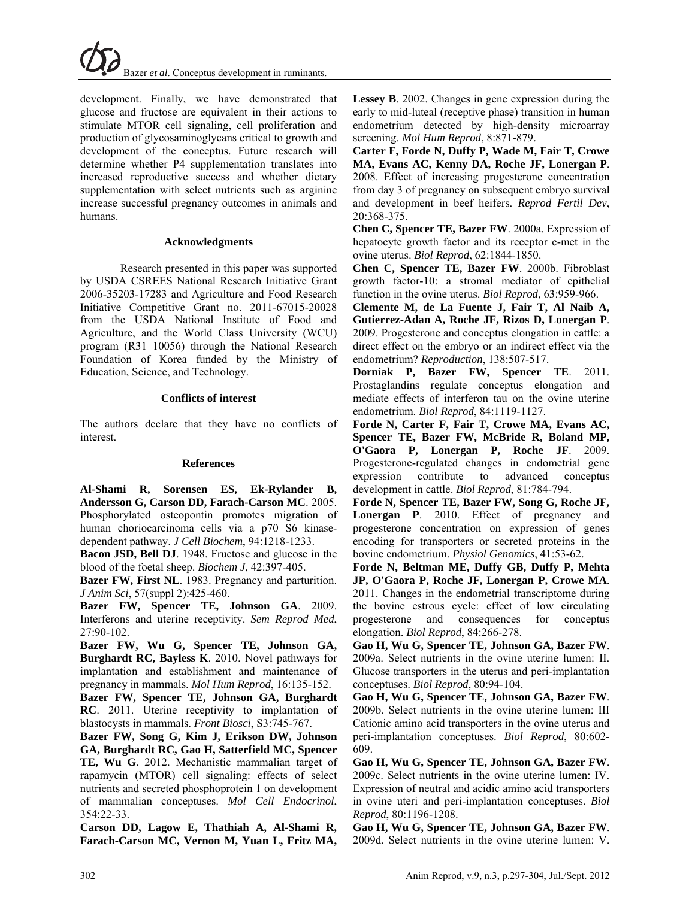

development. Finally, we have demonstrated that glucose and fructose are equivalent in their actions to stimulate MTOR cell signaling, cell proliferation and production of glycosaminoglycans critical to growth and development of the conceptus. Future research will determine whether P4 supplementation translates into increased reproductive success and whether dietary supplementation with select nutrients such as arginine increase successful pregnancy outcomes in animals and humans.

#### **Acknowledgments**

Research presented in this paper was supported by USDA CSREES National Research Initiative Grant 2006-35203-17283 and Agriculture and Food Research Initiative Competitive Grant no. 2011-67015-20028 from the USDA National Institute of Food and Agriculture, and the World Class University (WCU) program (R31–10056) through the National Research Foundation of Korea funded by the Ministry of Education, Science, and Technology.

#### **Conflicts of interest**

The authors declare that they have no conflicts of interest.

#### **References**

**Al-Shami R, Sorensen ES, Ek-Rylander B, Andersson G, Carson DD, Farach-Carson MC**. 2005. Phosphorylated osteopontin promotes migration of human choriocarcinoma cells via a p70 S6 kinasedependent pathway. *J Cell Biochem*, 94:1218-1233.

**Bacon JSD, Bell DJ**. 1948. Fructose and glucose in the blood of the foetal sheep. *Biochem J*, 42:397-405.

**Bazer FW, First NL**. 1983. Pregnancy and parturition. *J Anim Sci*, 57(suppl 2):425-460.

**Bazer FW, Spencer TE, Johnson GA**. 2009. Interferons and uterine receptivity. *Sem Reprod Med*, 27:90-102.

**Bazer FW, Wu G, Spencer TE, Johnson GA, Burghardt RC, Bayless K**. 2010. Novel pathways for implantation and establishment and maintenance of pregnancy in mammals. *Mol Hum Reprod*, 16:135-152.

**Bazer FW, Spencer TE, Johnson GA, Burghardt RC**. 2011. Uterine receptivity to implantation of blastocysts in mammals. *Front Biosci*, S3:745-767.

**Bazer FW, Song G, Kim J, Erikson DW, Johnson GA, Burghardt RC, Gao H, Satterfield MC, Spencer TE, Wu G**. 2012. Mechanistic mammalian target of rapamycin (MTOR) cell signaling: effects of select nutrients and secreted phosphoprotein 1 on development of mammalian conceptuses. *Mol Cell Endocrinol*, 354:22-33.

**Carson DD, Lagow E, Thathiah A, Al-Shami R, Farach-Carson MC, Vernon M, Yuan L, Fritz MA,**  **Lessey B**. 2002. Changes in gene expression during the early to mid-luteal (receptive phase) transition in human endometrium detected by high-density microarray screening. *Mol Hum Reprod*, 8:871-879.

**Carter F, Forde N, Duffy P, Wade M, Fair T, Crowe MA, Evans AC, Kenny DA, Roche JF, Lonergan P**. 2008. Effect of increasing progesterone concentration from day 3 of pregnancy on subsequent embryo survival and development in beef heifers. *Reprod Fertil Dev*, 20:368-375.

**Chen C, Spencer TE, Bazer FW**. 2000a. Expression of hepatocyte growth factor and its receptor c-met in the ovine uterus. *Biol Reprod*, 62:1844-1850.

**Chen C, Spencer TE, Bazer FW**. 2000b. Fibroblast growth factor-10: a stromal mediator of epithelial function in the ovine uterus. *Biol Reprod*, 63:959-966.

**Clemente M, de La Fuente J, Fair T, Al Naib A, Gutierrez-Adan A, Roche JF, Rizos D, Lonergan P**. 2009. Progesterone and conceptus elongation in cattle: a direct effect on the embryo or an indirect effect via the endometrium? *Reproduction*, 138:507-517.

**Dorniak P, Bazer FW, Spencer TE**. 2011. Prostaglandins regulate conceptus elongation and mediate effects of interferon tau on the ovine uterine endometrium. *Biol Reprod*, 84:1119-1127.

**Forde N, Carter F, Fair T, Crowe MA, Evans AC, Spencer TE, Bazer FW, McBride R, Boland MP, O'Gaora P, Lonergan P, Roche JF**. 2009. Progesterone-regulated changes in endometrial gene expression contribute to advanced conceptus development in cattle. *Biol Reprod*, 81:784-794.

**Forde N, Spencer TE, Bazer FW, Song G, Roche JF, Lonergan P**. 2010. Effect of pregnancy and progesterone concentration on expression of genes encoding for transporters or secreted proteins in the bovine endometrium. *Physiol Genomics*, 41:53-62.

**Forde N, Beltman ME, Duffy GB, Duffy P, Mehta JP, O'Gaora P, Roche JF, Lonergan P, Crowe MA**. 2011. Changes in the endometrial transcriptome during the bovine estrous cycle: effect of low circulating progesterone and consequences for conceptus elongation. *Biol Reprod*, 84:266-278.

**Gao H, Wu G, Spencer TE, Johnson GA, Bazer FW**. 2009a. Select nutrients in the ovine uterine lumen: II. Glucose transporters in the uterus and peri-implantation conceptuses. *Biol Reprod*, 80:94-104.

**Gao H, Wu G, Spencer TE, Johnson GA, Bazer FW**. 2009b. Select nutrients in the ovine uterine lumen: III Cationic amino acid transporters in the ovine uterus and peri-implantation conceptuses. *Biol Reprod*, 80:602- 609.

**Gao H, Wu G, Spencer TE, Johnson GA, Bazer FW**. 2009c. Select nutrients in the ovine uterine lumen: IV. Expression of neutral and acidic amino acid transporters in ovine uteri and peri-implantation conceptuses. *Biol Reprod*, 80:1196-1208.

**Gao H, Wu G, Spencer TE, Johnson GA, Bazer FW**. 2009d. Select nutrients in the ovine uterine lumen: V.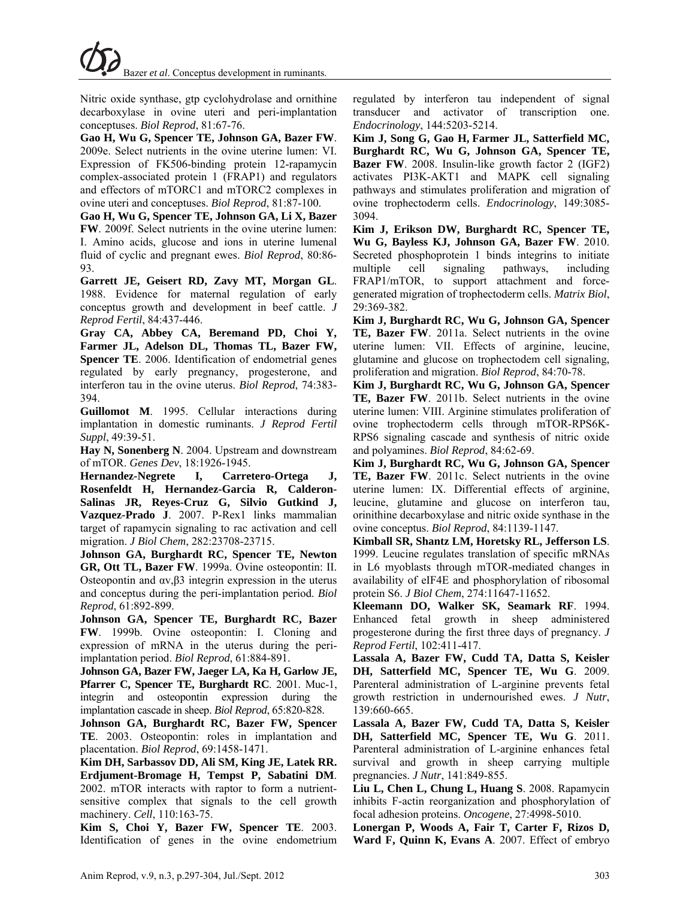Nitric oxide synthase, gtp cyclohydrolase and ornithine decarboxylase in ovine uteri and peri-implantation conceptuses. *Biol Reprod*, 81:67-76.

**Gao H, Wu G, Spencer TE, Johnson GA, Bazer FW**. 2009e. Select nutrients in the ovine uterine lumen: VI. Expression of FK506-binding protein 12-rapamycin complex-associated protein 1 (FRAP1) and regulators and effectors of mTORC1 and mTORC2 complexes in ovine uteri and conceptuses. *Biol Reprod*, 81:87-100.

**Gao H, Wu G, Spencer TE, Johnson GA, Li X, Bazer FW**. 2009f. Select nutrients in the ovine uterine lumen: I. Amino acids, glucose and ions in uterine lumenal fluid of cyclic and pregnant ewes. *Biol Reprod*, 80:86- 93.

**Garrett JE, Geisert RD, Zavy MT, Morgan GL**. 1988. Evidence for maternal regulation of early conceptus growth and development in beef cattle. *J Reprod Fertil*, 84:437-446.

**Gray CA, Abbey CA, Beremand PD, Choi Y, Farmer JL, Adelson DL, Thomas TL, Bazer FW, Spencer TE**. 2006. Identification of endometrial genes regulated by early pregnancy, progesterone, and interferon tau in the ovine uterus. *Biol Reprod*, 74:383- 394.

**Guillomot M**. 1995. Cellular interactions during implantation in domestic ruminants. *J Reprod Fertil Suppl*, 49:39-51.

**Hay N, Sonenberg N**. 2004. Upstream and downstream of mTOR. *Genes Dev*, 18:1926-1945.

**Hernandez-Negrete I, Carretero-Ortega J, Rosenfeldt H, Hernandez-Garcia R, Calderon-Salinas JR, Reyes-Cruz G, Silvio Gutkind J, Vazquez-Prado J**. 2007. P-Rex1 links mammalian target of rapamycin signaling to rac activation and cell migration. *J Biol Chem*, 282:23708-23715.

**Johnson GA, Burghardt RC, Spencer TE, Newton GR, Ott TL, Bazer FW**. 1999a. Ovine osteopontin: II. Osteopontin and αv,β3 integrin expression in the uterus and conceptus during the peri-implantation period. *Biol Reprod*, 61:892-899.

**Johnson GA, Spencer TE, Burghardt RC, Bazer FW**. 1999b. Ovine osteopontin: I. Cloning and expression of mRNA in the uterus during the periimplantation period. *Biol Reprod*, 61:884-891.

**Johnson GA, Bazer FW, Jaeger LA, Ka H, Garlow JE, Pfarrer C, Spencer TE, Burghardt RC**. 2001. Muc-1, integrin and osteopontin expression during the implantation cascade in sheep. *Biol Reprod*, 65:820-828.

**Johnson GA, Burghardt RC, Bazer FW, Spencer TE**. 2003. Osteopontin: roles in implantation and placentation. *Biol Reprod*, 69:1458-1471.

**Kim DH, Sarbassov DD, Ali SM, King JE, Latek RR. Erdjument-Bromage H, Tempst P, Sabatini DM**. 2002. mTOR interacts with raptor to form a nutrientsensitive complex that signals to the cell growth machinery. *Cell*, 110:163-75.

**Kim S, Choi Y, Bazer FW, Spencer TE**. 2003. Identification of genes in the ovine endometrium regulated by interferon tau independent of signal transducer and activator of transcription one. *Endocrinology*, 144:5203-5214.

**Kim J, Song G, Gao H, Farmer JL, Satterfield MC, Burghardt RC, Wu G, Johnson GA, Spencer TE, Bazer FW**. 2008. Insulin-like growth factor 2 (IGF2) activates PI3K-AKT1 and MAPK cell signaling pathways and stimulates proliferation and migration of ovine trophectoderm cells. *Endocrinology*, 149:3085- 3094.

**Kim J, Erikson DW, Burghardt RC, Spencer TE, Wu G, Bayless KJ, Johnson GA, Bazer FW**. 2010. Secreted phosphoprotein 1 binds integrins to initiate multiple cell signaling pathways, including FRAP1/mTOR, to support attachment and forcegenerated migration of trophectoderm cells. *Matrix Biol*, 29:369-382.

**Kim J, Burghardt RC, Wu G, Johnson GA, Spencer TE, Bazer FW**. 2011a. Select nutrients in the ovine uterine lumen: VII. Effects of arginine, leucine, glutamine and glucose on trophectodem cell signaling, proliferation and migration. *Biol Reprod*, 84:70-78.

**Kim J, Burghardt RC, Wu G, Johnson GA, Spencer TE, Bazer FW**. 2011b. Select nutrients in the ovine uterine lumen: VIII. Arginine stimulates proliferation of ovine trophectoderm cells through mTOR-RPS6K-RPS6 signaling cascade and synthesis of nitric oxide and polyamines. *Biol Reprod*, 84:62-69.

**Kim J, Burghardt RC, Wu G, Johnson GA, Spencer TE, Bazer FW**. 2011c. Select nutrients in the ovine uterine lumen: IX. Differential effects of arginine, leucine, glutamine and glucose on interferon tau, orinithine decarboxylase and nitric oxide synthase in the ovine conceptus. *Biol Reprod*, 84:1139-1147.

**Kimball SR, Shantz LM, Horetsky RL, Jefferson LS**. 1999. Leucine regulates translation of specific mRNAs in L6 myoblasts through mTOR-mediated changes in availability of eIF4E and phosphorylation of ribosomal protein S6. *J Biol Chem*, 274:11647-11652.

**Kleemann DO, Walker SK, Seamark RF**. 1994. Enhanced fetal growth in sheep administered progesterone during the first three days of pregnancy. *J Reprod Fertil*, 102:411-417.

**Lassala A, Bazer FW, Cudd TA, Datta S, Keisler DH, Satterfield MC, Spencer TE, Wu G**. 2009. Parenteral administration of L-arginine prevents fetal growth restriction in undernourished ewes. *J Nutr*, 139:660-665.

**Lassala A, Bazer FW, Cudd TA, Datta S, Keisler DH, Satterfield MC, Spencer TE, Wu G**. 2011. Parenteral administration of L-arginine enhances fetal survival and growth in sheep carrying multiple pregnancies. *J Nutr*, 141:849-855.

**Liu L, Chen L, Chung L, Huang S**. 2008. Rapamycin inhibits F-actin reorganization and phosphorylation of focal adhesion proteins. *Oncogene*, 27:4998-5010.

**Lonergan P, Woods A, Fair T, Carter F, Rizos D, Ward F, Quinn K, Evans A**. 2007. Effect of embryo